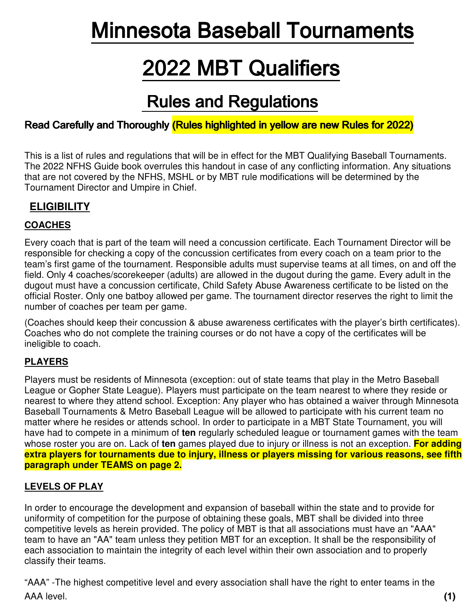# **Minnesota Baseball Tournaments**

# **2022 MBT Qualifiers**

# **Rules and Regulations**

# Read Carefully and Thoroughly (Rules highlighted in yellow are new Rules for 2022)

This is a list of rules and regulations that will be in effect for the MBT Qualifying Baseball Tournaments. The 2022 NFHS Guide book overrules this handout in case of any conflicting information. Any situations that are not covered by the NFHS, MSHL or by MBT rule modifications will be determined by the Tournament Director and Umpire in Chief.

# **ELIGIBILITY**

### **COACHES**

Every coach that is part of the team will need a concussion certificate. Each Tournament Director will be responsible for checking a copy of the concussion certificates from every coach on a team prior to the team's first game of the tournament. Responsible adults must supervise teams at all times, on and off the field. Only 4 coaches/scorekeeper (adults) are allowed in the dugout during the game. Every adult in the dugout must have a concussion certificate, Child Safety Abuse Awareness certificate to be listed on the official Roster. Only one batboy allowed per game. The tournament director reserves the right to limit the number of coaches per team per game.

(Coaches should keep their concussion & abuse awareness certificates with the player's birth certificates). Coaches who do not complete the training courses or do not have a copy of the certificates will be ineligible to coach.

### **PLAYERS**

Players must be residents of Minnesota (exception: out of state teams that play in the Metro Baseball League or Gopher State League). Players must participate on the team nearest to where they reside or nearest to where they attend school. Exception: Any player who has obtained a waiver through Minnesota Baseball Tournaments & Metro Baseball League will be allowed to participate with his current team no matter where he resides or attends school. In order to participate in a MBT State Tournament, you will have had to compete in a minimum of **ten** regularly scheduled league or tournament games with the team whose roster you are on. Lack of **ten** games played due to injury or illness is not an exception. **For adding extra players for tournaments due to injury, illness or players missing for various reasons, see fifth paragraph under TEAMS on page 2.**

### **LEVELS OF PLAY**

In order to encourage the development and expansion of baseball within the state and to provide for uniformity of competition for the purpose of obtaining these goals, MBT shall be divided into three competitive levels as herein provided. The policy of MBT is that all associations must have an "AAA" team to have an "AA" team unless they petition MBT for an exception. It shall be the responsibility of each association to maintain the integrity of each level within their own association and to properly classify their teams.

"AAA" -The highest competitive level and every association shall have the right to enter teams in the AAA level. (1)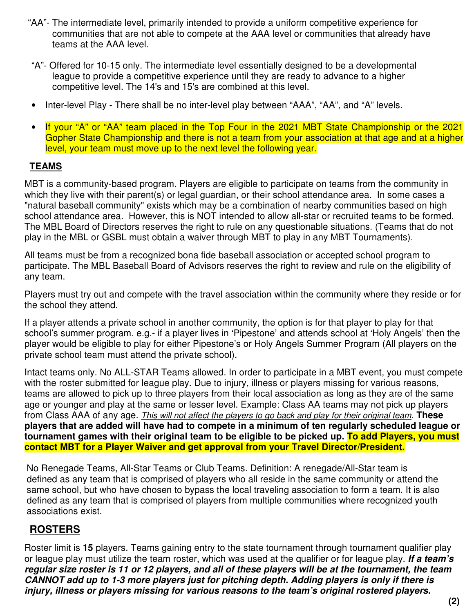- "AA"- The intermediate level, primarily intended to provide a uniform competitive experience for communities that are not able to compete at the AAA level or communities that already have teams at the AAA level.
- "A"- Offered for 10-15 only. The intermediate level essentially designed to be a developmental league to provide a competitive experience until they are ready to advance to a higher competitive level. The 14's and 15's are combined at this level.
- Inter-level Play There shall be no inter-level play between "AAA", "AA", and "A" levels.
- If your "A" or "AA" team placed in the Top Four in the 2021 MBT State Championship or the 2021 Gopher State Championship and there is not a team from your association at that age and at a higher level, your team must move up to the next level the following year.

### **TEAMS**

MBT is a community-based program. Players are eligible to participate on teams from the community in which they live with their parent(s) or legal guardian, or their school attendance area. In some cases a "natural baseball community" exists which may be a combination of nearby communities based on high school attendance area. However, this is NOT intended to allow all-star or recruited teams to be formed. The MBL Board of Directors reserves the right to rule on any questionable situations. (Teams that do not play in the MBL or GSBL must obtain a waiver through MBT to play in any MBT Tournaments).

All teams must be from a recognized bona fide baseball association or accepted school program to participate. The MBL Baseball Board of Advisors reserves the right to review and rule on the eligibility of any team.

Players must try out and compete with the travel association within the community where they reside or for the school they attend.

If a player attends a private school in another community, the option is for that player to play for that school's summer program. e.g.- if a player lives in 'Pipestone' and attends school at 'Holy Angels' then the player would be eligible to play for either Pipestone's or Holy Angels Summer Program (All players on the private school team must attend the private school).

Intact teams only. No ALL-STAR Teams allowed. In order to participate in a MBT event, you must compete with the roster submitted for league play. Due to injury, illness or players missing for various reasons, teams are allowed to pick up to three players from their local association as long as they are of the same age or younger and play at the same or lesser level. Example: Class AA teams may not pick up players from Class AAA of any age. *This will not affect the players to go back and play for their original team*. **These players that are added will have had to compete in a minimum of ten regularly scheduled league or tournament games with their original team to be eligible to be picked up. To add Players, you must contact MBT for a Player Waiver and get approval from your Travel Director/President.** 

No Renegade Teams, All-Star Teams or Club Teams. Definition: A renegade/All-Star team is defined as any team that is comprised of players who all reside in the same community or attend the same school, but who have chosen to bypass the local traveling association to form a team. It is also defined as any team that is comprised of players from multiple communities where recognized youth associations exist.

### **ROSTERS**

Roster limit is **15** players. Teams gaining entry to the state tournament through tournament qualifier play or league play must utilize the team roster, which was used at the qualifier or for league play. *If a team's regular size roster is 11 or 12 players, and all of these players will be at the tournament, the team CANNOT add up to 1-3 more players just for pitching depth. Adding players is only if there is injury, illness or players missing for various reasons to the team's original rostered players.*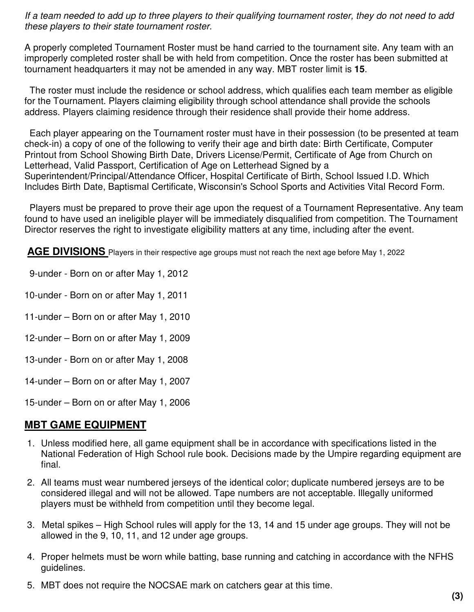*If a team needed to add up to three players to their qualifying tournament roster, they do not need to add these players to their state tournament roster.*

A properly completed Tournament Roster must be hand carried to the tournament site. Any team with an improperly completed roster shall be with held from competition. Once the roster has been submitted at tournament headquarters it may not be amended in any way. MBT roster limit is **15**.

 The roster must include the residence or school address, which qualifies each team member as eligible for the Tournament. Players claiming eligibility through school attendance shall provide the schools address. Players claiming residence through their residence shall provide their home address.

 Each player appearing on the Tournament roster must have in their possession (to be presented at team check-in) a copy of one of the following to verify their age and birth date: Birth Certificate, Computer Printout from School Showing Birth Date, Drivers License/Permit, Certificate of Age from Church on Letterhead, Valid Passport, Certification of Age on Letterhead Signed by a Superintendent/Principal/Attendance Officer, Hospital Certificate of Birth, School Issued I.D. Which Includes Birth Date, Baptismal Certificate, Wisconsin's School Sports and Activities Vital Record Form.

 Players must be prepared to prove their age upon the request of a Tournament Representative. Any team found to have used an ineligible player will be immediately disqualified from competition. The Tournament Director reserves the right to investigate eligibility matters at any time, including after the event.

**AGE DIVISIONS** Players in their respective age groups must not reach the next age before May 1, 2022

- 9-under Born on or after May 1, 2012
- 10-under Born on or after May 1, 2011
- 11-under Born on or after May 1, 2010
- 12-under Born on or after May 1, 2009
- 13-under Born on or after May 1, 2008
- 14-under Born on or after May 1, 2007
- 15-under Born on or after May 1, 2006

### **MBT GAME EQUIPMENT**

- 1. Unless modified here, all game equipment shall be in accordance with specifications listed in the National Federation of High School rule book. Decisions made by the Umpire regarding equipment are final.
- 2. All teams must wear numbered jerseys of the identical color; duplicate numbered jerseys are to be considered illegal and will not be allowed. Tape numbers are not acceptable. Illegally uniformed players must be withheld from competition until they become legal.
- 3. Metal spikes High School rules will apply for the 13, 14 and 15 under age groups. They will not be allowed in the 9, 10, 11, and 12 under age groups.
- 4. Proper helmets must be worn while batting, base running and catching in accordance with the NFHS guidelines.
- 5. MBT does not require the NOCSAE mark on catchers gear at this time.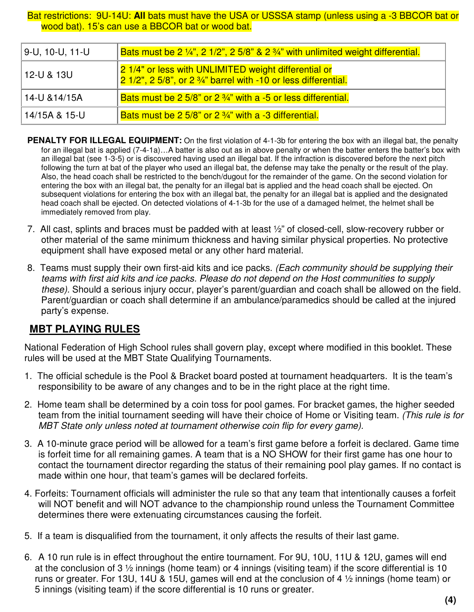Bat restrictions: 9U-14U: **All** bats must have the USA or USSSA stamp (unless using a -3 BBCOR bat or wood bat). 15's can use a BBCOR bat or wood bat.

| 9-U, 10-U, 11-U | Bats must be 2 1/4", 2 1/2", 2 5/8" & 2 3/4" with unlimited weight differential.                                                          |
|-----------------|-------------------------------------------------------------------------------------------------------------------------------------------|
| 12-U & 13U      | 21/4" or less with UNLIMITED weight differential or<br>$\sqrt{21/2}$ , 2 5/8", or 2 $\frac{3}{4}$ " barrel with -10 or less differential. |
| 14-U & 14/15A   | Bats must be 2 $5/8$ " or 2 $\frac{3}{4}$ " with a -5 or less differential.                                                               |
| 14/15A & 15-U   | Bats must be 2 5/8" or $2\frac{3}{4}$ " with a -3 differential.                                                                           |

- **PENALTY FOR ILLEGAL EQUIPMENT:** On the first violation of 4-1-3b for entering the box with an illegal bat, the penalty for an illegal bat is applied (7-4-1a)…A batter is also out as in above penalty or when the batter enters the batter's box with an illegal bat (see 1-3-5) or is discovered having used an illegal bat. If the infraction is discovered before the next pitch following the turn at bat of the player who used an illegal bat, the defense may take the penalty or the result of the play. Also, the head coach shall be restricted to the bench/dugout for the remainder of the game. On the second violation for entering the box with an illegal bat, the penalty for an illegal bat is applied and the head coach shall be ejected. On subsequent violations for entering the box with an illegal bat, the penalty for an illegal bat is applied and the designated head coach shall be ejected. On detected violations of 4-1-3b for the use of a damaged helmet, the helmet shall be immediately removed from play.
- 7. All cast, splints and braces must be padded with at least ½" of closed-cell, slow-recovery rubber or other material of the same minimum thickness and having similar physical properties. No protective equipment shall have exposed metal or any other hard material.
- 8. Teams must supply their own first-aid kits and ice packs. *(Each community should be supplying their teams with first aid kits and ice packs. Please do not depend on the Host communities to supply these).* Should a serious injury occur, player's parent/guardian and coach shall be allowed on the field. Parent/guardian or coach shall determine if an ambulance/paramedics should be called at the injured party's expense.

### **MBT PLAYING RULES**

National Federation of High School rules shall govern play, except where modified in this booklet. These rules will be used at the MBT State Qualifying Tournaments.

- 1. The official schedule is the Pool & Bracket board posted at tournament headquarters. It is the team's responsibility to be aware of any changes and to be in the right place at the right time.
- 2. Home team shall be determined by a coin toss for pool games. For bracket games, the higher seeded team from the initial tournament seeding will have their choice of Home or Visiting team. *(This rule is for MBT State only unless noted at tournament otherwise coin flip for every game).*
- 3. A 10-minute grace period will be allowed for a team's first game before a forfeit is declared. Game time is forfeit time for all remaining games. A team that is a NO SHOW for their first game has one hour to contact the tournament director regarding the status of their remaining pool play games. If no contact is made within one hour, that team's games will be declared forfeits.
- 4. Forfeits: Tournament officials will administer the rule so that any team that intentionally causes a forfeit will NOT benefit and will NOT advance to the championship round unless the Tournament Committee determines there were extenuating circumstances causing the forfeit.
- 5. If a team is disqualified from the tournament, it only affects the results of their last game.
- 6. A 10 run rule is in effect throughout the entire tournament. For 9U, 10U, 11U & 12U, games will end at the conclusion of 3 ½ innings (home team) or 4 innings (visiting team) if the score differential is 10 runs or greater. For 13U, 14U & 15U, games will end at the conclusion of 4 ½ innings (home team) or 5 innings (visiting team) if the score differential is 10 runs or greater.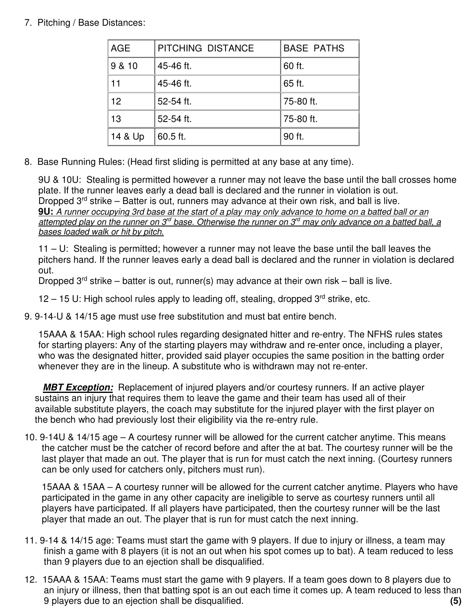### 7. Pitching / Base Distances:

| <b>AGE</b>      | PITCHING DISTANCE | <b>BASE PATHS</b> |
|-----------------|-------------------|-------------------|
| 9 & 10          | 45-46 ft.         | 60 ft.            |
| 11              | 45-46 ft.         | 65 ft.            |
| 12 <sup>2</sup> | 52-54 ft.         | 75-80 ft.         |
| 13              | 52-54 ft.         | 75-80 ft.         |
| 14 & Up         | 60.5 ft.          | 90 ft.            |

8. Base Running Rules: (Head first sliding is permitted at any base at any time).

9U & 10U: Stealing is permitted however a runner may not leave the base until the ball crosses home plate. If the runner leaves early a dead ball is declared and the runner in violation is out. Dropped  $3<sup>rd</sup>$  strike – Batter is out, runners may advance at their own risk, and ball is live. **9U:** *A runner occupying 3rd base at the start of a play may only advance to home on a batted ball or an attempted play on the runner on 3rd base. Otherwise the runner on 3rd may only advance on a batted ball, a bases loaded walk or hit by pitch.*

11 – U: Stealing is permitted; however a runner may not leave the base until the ball leaves the pitchers hand. If the runner leaves early a dead ball is declared and the runner in violation is declared out.

Dropped  $3^{rd}$  strike – batter is out, runner(s) may advance at their own risk – ball is live.

 $12 - 15$  U: High school rules apply to leading off, stealing, dropped  $3^{rd}$  strike, etc.

9. 9-14-U & 14/15 age must use free substitution and must bat entire bench.

15AAA & 15AA: High school rules regarding designated hitter and re-entry. The NFHS rules states for starting players: Any of the starting players may withdraw and re-enter once, including a player, who was the designated hitter, provided said player occupies the same position in the batting order whenever they are in the lineup. A substitute who is withdrawn may not re-enter.

 *MBT Exception:* Replacement of injured players and/or courtesy runners. If an active player sustains an injury that requires them to leave the game and their team has used all of their available substitute players, the coach may substitute for the injured player with the first player on the bench who had previously lost their eligibility via the re-entry rule.

10. 9-14U & 14/15 age – A courtesy runner will be allowed for the current catcher anytime. This means the catcher must be the catcher of record before and after the at bat. The courtesy runner will be the last player that made an out. The player that is run for must catch the next inning. (Courtesy runners can be only used for catchers only, pitchers must run).

15AAA & 15AA – A courtesy runner will be allowed for the current catcher anytime. Players who have participated in the game in any other capacity are ineligible to serve as courtesy runners until all players have participated. If all players have participated, then the courtesy runner will be the last player that made an out. The player that is run for must catch the next inning.

- 11. 9-14 & 14/15 age: Teams must start the game with 9 players. If due to injury or illness, a team may finish a game with 8 players (it is not an out when his spot comes up to bat). A team reduced to less than 9 players due to an ejection shall be disqualified.
- 12. 15AAA & 15AA: Teams must start the game with 9 players. If a team goes down to 8 players due to an injury or illness, then that batting spot is an out each time it comes up. A team reduced to less than 9 players due to an ejection shall be disqualified. **(5)**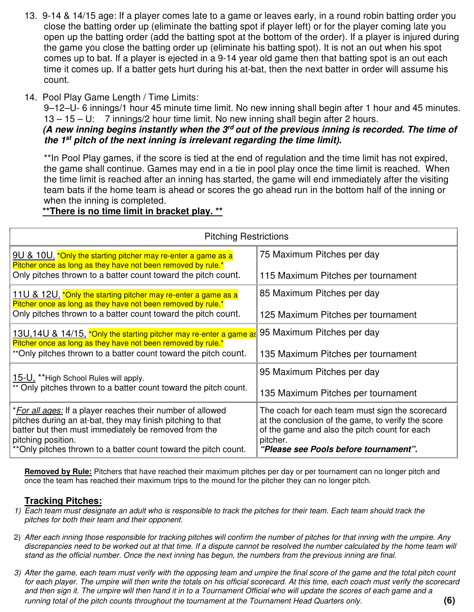- 13. 9-14 & 14/15 age: If a player comes late to a game or leaves early, in a round robin batting order you close the batting order up (eliminate the batting spot if player left) or for the player coming late you open up the batting order (add the batting spot at the bottom of the order). If a player is injured during the game you close the batting order up (eliminate his batting spot). It is not an out when his spot comes up to bat. If a player is ejected in a 9-14 year old game then that batting spot is an out each time it comes up. If a batter gets hurt during his at-bat, then the next batter in order will assume his count.
- 14. Pool Play Game Length / Time Limits:

9–12–U- 6 innings/1 hour 45 minute time limit. No new inning shall begin after 1 hour and 45 minutes. 13 – 15 – U: 7 innings/2 hour time limit. No new inning shall begin after 2 hours.

### *(A new inning begins instantly when the 3rd out of the previous inning is recorded. The time of the 1st pitch of the next inning is irrelevant regarding the time limit).*

\*\*In Pool Play games, if the score is tied at the end of regulation and the time limit has not expired, the game shall continue. Games may end in a tie in pool play once the time limit is reached. When the time limit is reached after an inning has started, the game will end immediately after the visiting team bats if the home team is ahead or scores the go ahead run in the bottom half of the inning or when the inning is completed.

### **\*\*There is no time limit in bracket play. \*\***

| <b>Pitching Restrictions</b>                                                                                                                                                                                                                                                      |                                                                                                                                                                                                             |  |
|-----------------------------------------------------------------------------------------------------------------------------------------------------------------------------------------------------------------------------------------------------------------------------------|-------------------------------------------------------------------------------------------------------------------------------------------------------------------------------------------------------------|--|
| 9U & 10U, *Only the starting pitcher may re-enter a game as a<br>Pitcher once as long as they have not been removed by rule.*                                                                                                                                                     | 75 Maximum Pitches per day                                                                                                                                                                                  |  |
| Only pitches thrown to a batter count toward the pitch count.                                                                                                                                                                                                                     | 115 Maximum Pitches per tournament                                                                                                                                                                          |  |
| 11U & 12U, *Only the starting pitcher may re-enter a game as a<br>Pitcher once as long as they have not been removed by rule.*                                                                                                                                                    | 85 Maximum Pitches per day                                                                                                                                                                                  |  |
| Only pitches thrown to a batter count toward the pitch count.                                                                                                                                                                                                                     | 125 Maximum Pitches per tournament                                                                                                                                                                          |  |
| 13U, 14U & 14/15, *Only the starting pitcher may re-enter a game as<br>Pitcher once as long as they have not been removed by rule.*                                                                                                                                               | 95 Maximum Pitches per day                                                                                                                                                                                  |  |
| **Only pitches thrown to a batter count toward the pitch count.                                                                                                                                                                                                                   | 135 Maximum Pitches per tournament                                                                                                                                                                          |  |
| 15-U, **High School Rules will apply.                                                                                                                                                                                                                                             | 95 Maximum Pitches per day                                                                                                                                                                                  |  |
| ** Only pitches thrown to a batter count toward the pitch count.                                                                                                                                                                                                                  | 135 Maximum Pitches per tournament                                                                                                                                                                          |  |
| * <i>For all ages:</i> If a player reaches their number of allowed<br>pitches during an at-bat, they may finish pitching to that<br>batter but then must immediately be removed from the<br>pitching position.<br>**Only pitches thrown to a batter count toward the pitch count. | The coach for each team must sign the scorecard<br>at the conclusion of the game, to verify the score<br>of the game and also the pitch count for each<br>pitcher.<br>"Please see Pools before tournament". |  |

**Removed by Rule:** Pitchers that have reached their maximum pitches per day or per tournament can no longer pitch and once the team has reached their maximum trips to the mound for the pitcher they can no longer pitch.

### **Tracking Pitches:**

- *1) Each team must designate an adult who is responsible to track the pitches for their team. Each team should track the pitches for both their team and their opponent.*
- 2) *After each inning those responsible for tracking pitches will confirm the number of pitches for that inning with the umpire. Any discrepancies need to be worked out at that time. If a dispute cannot be resolved the number calculated by the home team will stand as the official number. Once the next inning has begun, the numbers from the previous inning are final.*
- *3) After the game, each team must verify with the opposing team and umpire the final score of the game and the total pitch count*  for each player. The umpire will then write the totals on his official scorecard. At this time, each coach must verify the scorecard *and then sign it. The umpire will then hand it in to a Tournament Official who will update the scores of each game and a running total of the pitch counts throughout the tournament at the Tournament Head Quarters only.* **(6)**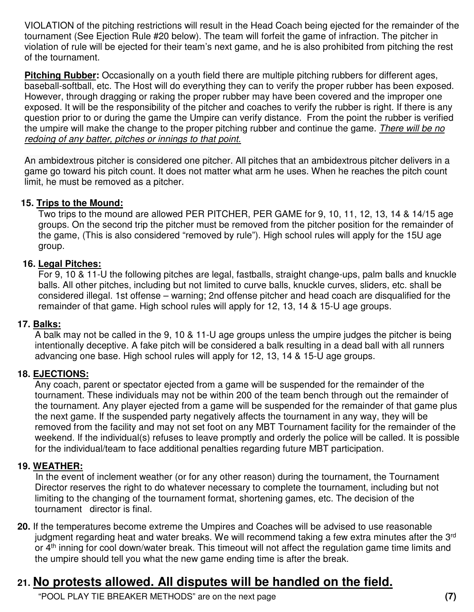VIOLATION of the pitching restrictions will result in the Head Coach being ejected for the remainder of the tournament (See Ejection Rule #20 below). The team will forfeit the game of infraction. The pitcher in violation of rule will be ejected for their team's next game, and he is also prohibited from pitching the rest of the tournament.

**Pitching Rubber:** Occasionally on a youth field there are multiple pitching rubbers for different ages, baseball-softball, etc. The Host will do everything they can to verify the proper rubber has been exposed. However, through dragging or raking the proper rubber may have been covered and the improper one exposed. It will be the responsibility of the pitcher and coaches to verify the rubber is right. If there is any question prior to or during the game the Umpire can verify distance. From the point the rubber is verified the umpire will make the change to the proper pitching rubber and continue the game. *There will be no redoing of any batter, pitches or innings to that point.* 

An ambidextrous pitcher is considered one pitcher. All pitches that an ambidextrous pitcher delivers in a game go toward his pitch count. It does not matter what arm he uses. When he reaches the pitch count limit, he must be removed as a pitcher.

### **15. Trips to the Mound:**

Two trips to the mound are allowed PER PITCHER, PER GAME for 9, 10, 11, 12, 13, 14 & 14/15 age groups. On the second trip the pitcher must be removed from the pitcher position for the remainder of the game, (This is also considered "removed by rule"). High school rules will apply for the 15U age group.

### **16. Legal Pitches:**

For 9, 10 & 11-U the following pitches are legal, fastballs, straight change-ups, palm balls and knuckle balls. All other pitches, including but not limited to curve balls, knuckle curves, sliders, etc. shall be considered illegal. 1st offense – warning; 2nd offense pitcher and head coach are disqualified for the remainder of that game. High school rules will apply for 12, 13, 14 & 15-U age groups.

### **17. Balks:**

A balk may not be called in the 9, 10 & 11-U age groups unless the umpire judges the pitcher is being intentionally deceptive. A fake pitch will be considered a balk resulting in a dead ball with all runners advancing one base. High school rules will apply for 12, 13, 14 & 15-U age groups.

### **18. EJECTIONS:**

Any coach, parent or spectator ejected from a game will be suspended for the remainder of the tournament. These individuals may not be within 200 of the team bench through out the remainder of the tournament. Any player ejected from a game will be suspended for the remainder of that game plus the next game. If the suspended party negatively affects the tournament in any way, they will be removed from the facility and may not set foot on any MBT Tournament facility for the remainder of the weekend. If the individual(s) refuses to leave promptly and orderly the police will be called. It is possible for the individual/team to face additional penalties regarding future MBT participation.

### **19. WEATHER:**

In the event of inclement weather (or for any other reason) during the tournament, the Tournament Director reserves the right to do whatever necessary to complete the tournament, including but not limiting to the changing of the tournament format, shortening games, etc. The decision of the tournament director is final.

**20.** If the temperatures become extreme the Umpires and Coaches will be advised to use reasonable judgment regarding heat and water breaks. We will recommend taking a few extra minutes after the 3<sup>rd</sup> or 4<sup>th</sup> inning for cool down/water break. This timeout will not affect the regulation game time limits and the umpire should tell you what the new game ending time is after the break.

# **21. No protests allowed. All disputes will be handled on the field.**

"POOL PLAY TIE BREAKER METHODS" are on the next page **(7)**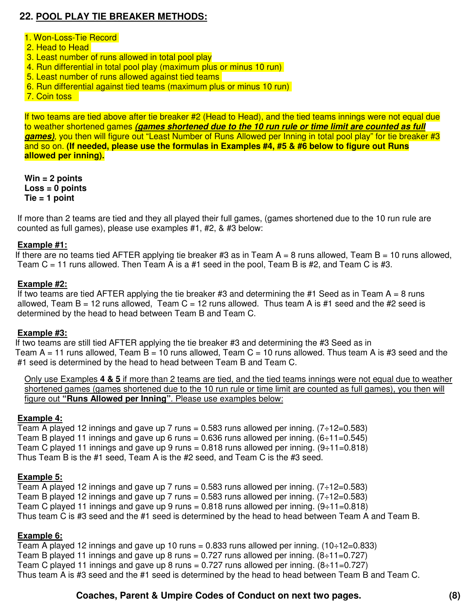### **22. POOL PLAY TIE BREAKER METHODS:**

### 1. Won-Loss-Tie Record

- 2. Head to Head
- 3. Least number of runs allowed in total pool play
- 4. Run differential in total pool play (maximum plus or minus 10 run)
- 5. Least number of runs allowed against tied teams
- 6. Run differential against tied teams (maximum plus or minus 10 run)

7. Coin toss

If two teams are tied above after tie breaker #2 (Head to Head), and the tied teams innings were not equal due to weather shortened games *(games shortened due to the 10 run rule or time limit are counted as full games)*, you then will figure out "Least Number of Runs Allowed per Inning in total pool play" for tie breaker #3 and so on. **(If needed, please use the formulas in Examples #4, #5 & #6 below to figure out Runs allowed per inning).** 

**Win = 2 points Loss = 0 points Tie = 1 point** 

If more than 2 teams are tied and they all played their full games, (games shortened due to the 10 run rule are counted as full games), please use examples #1, #2, & #3 below:

### **Example #1:**

If there are no teams tied AFTER applying tie breaker #3 as in Team  $A = 8$  runs allowed, Team  $B = 10$  runs allowed, Team C = 11 runs allowed. Then Team A is a #1 seed in the pool, Team B is #2, and Team C is #3.

### **Example #2:**

If two teams are tied AFTER applying the tie breaker #3 and determining the #1 Seed as in Team  $A = 8$  runs allowed, Team B = 12 runs allowed, Team C = 12 runs allowed. Thus team A is #1 seed and the #2 seed is determined by the head to head between Team B and Team C.

#### **Example #3:**

 If two teams are still tied AFTER applying the tie breaker #3 and determining the #3 Seed as in Team A = 11 runs allowed, Team B = 10 runs allowed, Team C = 10 runs allowed. Thus team A is #3 seed and the #1 seed is determined by the head to head between Team B and Team C.

Only use Examples **4 & 5** if more than 2 teams are tied, and the tied teams innings were not equal due to weather shortened games (games shortened due to the 10 run rule or time limit are counted as full games), you then will figure out **"Runs Allowed per Inning"**. Please use examples below:

#### **Example 4:**

Team A played 12 innings and gave up 7 runs = 0.583 runs allowed per inning.  $(7\div 12=0.583)$ Team B played 11 innings and gave up 6 runs = 0.636 runs allowed per inning.  $(6 \div 11 = 0.545)$ Team C played 11 innings and gave up 9 runs = 0.818 runs allowed per inning.  $(9 \div 11 = 0.818)$ Thus Team B is the #1 seed, Team A is the #2 seed, and Team C is the #3 seed.

#### **Example 5:**

Team A played 12 innings and gave up 7 runs = 0.583 runs allowed per inning.  $(7\div 12=0.583)$ Team B played 12 innings and gave up 7 runs = 0.583 runs allowed per inning.  $(7 \div 12 = 0.583)$ Team C played 11 innings and gave up 9 runs =  $0.818$  runs allowed per inning.  $(9 \div 11 = 0.818)$ Thus team C is #3 seed and the #1 seed is determined by the head to head between Team A and Team B.

#### **Example 6:**

Team A played 12 innings and gave up 10 runs  $= 0.833$  runs allowed per inning.  $(10-12=0.833)$ Team B played 11 innings and gave up 8 runs = 0.727 runs allowed per inning.  $(8 \div 11 = 0.727)$ Team C played 11 innings and gave up 8 runs = 0.727 runs allowed per inning.  $(8 \div 11 = 0.727)$ Thus team A is #3 seed and the #1 seed is determined by the head to head between Team B and Team C.

### **Coaches, Parent & Umpire Codes of Conduct on next two pages. (8)**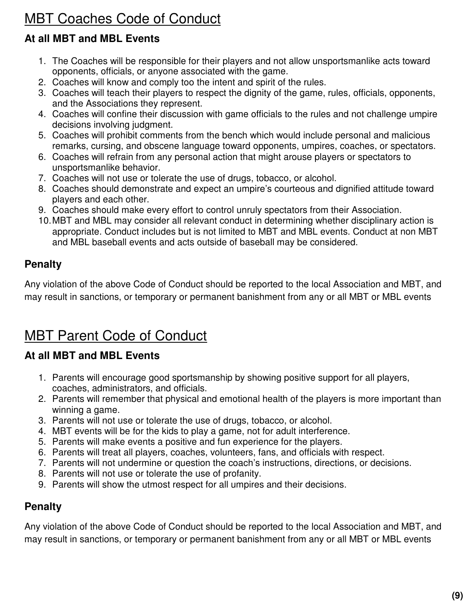# MBT Coaches Code of Conduct

# **At all MBT and MBL Events**

- 1. The Coaches will be responsible for their players and not allow unsportsmanlike acts toward opponents, officials, or anyone associated with the game.
- 2. Coaches will know and comply too the intent and spirit of the rules.
- 3. Coaches will teach their players to respect the dignity of the game, rules, officials, opponents, and the Associations they represent.
- 4. Coaches will confine their discussion with game officials to the rules and not challenge umpire decisions involving judgment.
- 5. Coaches will prohibit comments from the bench which would include personal and malicious remarks, cursing, and obscene language toward opponents, umpires, coaches, or spectators.
- 6. Coaches will refrain from any personal action that might arouse players or spectators to unsportsmanlike behavior.
- 7. Coaches will not use or tolerate the use of drugs, tobacco, or alcohol.
- 8. Coaches should demonstrate and expect an umpire's courteous and dignified attitude toward players and each other.
- 9. Coaches should make every effort to control unruly spectators from their Association.
- 10. MBT and MBL may consider all relevant conduct in determining whether disciplinary action is appropriate. Conduct includes but is not limited to MBT and MBL events. Conduct at non MBT and MBL baseball events and acts outside of baseball may be considered.

# **Penalty**

Any violation of the above Code of Conduct should be reported to the local Association and MBT, and may result in sanctions, or temporary or permanent banishment from any or all MBT or MBL events

# MBT Parent Code of Conduct

# **At all MBT and MBL Events**

- 1. Parents will encourage good sportsmanship by showing positive support for all players, coaches, administrators, and officials.
- 2. Parents will remember that physical and emotional health of the players is more important than winning a game.
- 3. Parents will not use or tolerate the use of drugs, tobacco, or alcohol.
- 4. MBT events will be for the kids to play a game, not for adult interference.
- 5. Parents will make events a positive and fun experience for the players.
- 6. Parents will treat all players, coaches, volunteers, fans, and officials with respect.
- 7. Parents will not undermine or question the coach's instructions, directions, or decisions.
- 8. Parents will not use or tolerate the use of profanity.
- 9. Parents will show the utmost respect for all umpires and their decisions.

# **Penalty**

Any violation of the above Code of Conduct should be reported to the local Association and MBT, and may result in sanctions, or temporary or permanent banishment from any or all MBT or MBL events